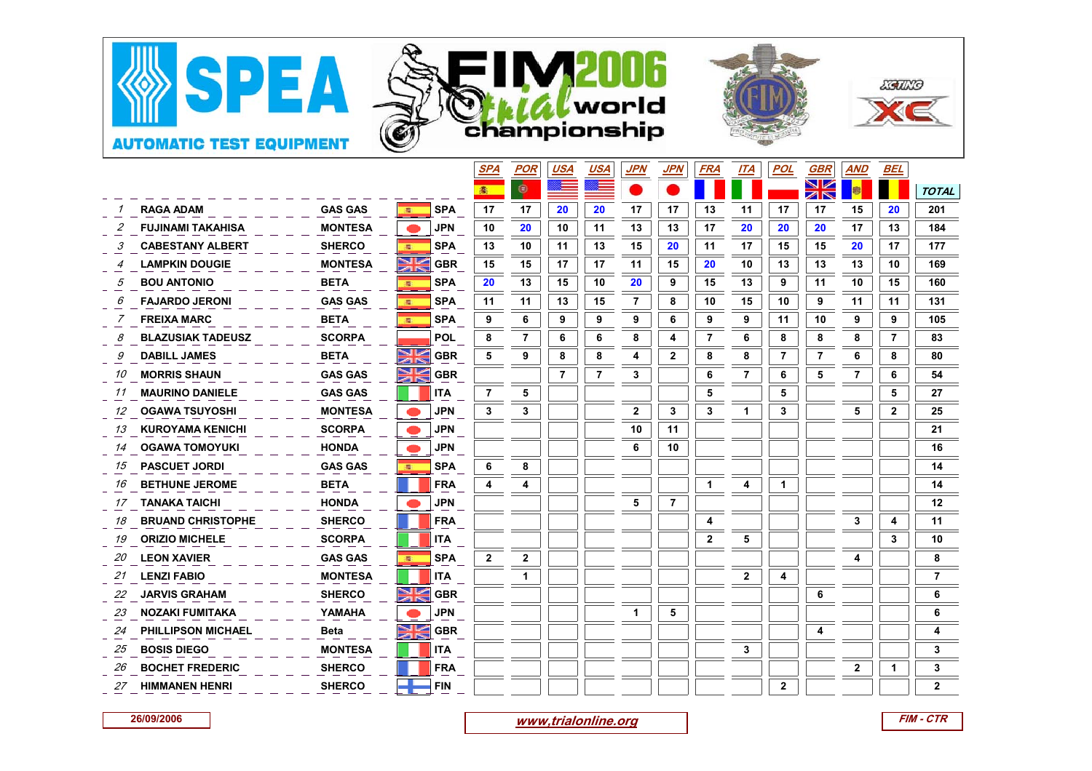

|    |                          |                |                       | <u>SPA</u>       | <u>POR</u>     | <u>USA</u>     | <u>USA</u> | <u>JPN</u>     | <u>JPN</u>     | <u>FRA</u>     | <u> ІТА</u> | <u>POL</u>              | <u>GBR</u>     | <u>AND</u>   | <u>BEL</u>   |                |
|----|--------------------------|----------------|-----------------------|------------------|----------------|----------------|------------|----------------|----------------|----------------|-------------|-------------------------|----------------|--------------|--------------|----------------|
|    |                          |                |                       |                  | ۱              |                |            |                |                |                |             |                         | XK             |              |              | <b>TOTAL</b>   |
|    | <b>RAGA ADAM</b>         | <b>GAS GAS</b> | <b>SPA</b><br>港       | 17               | 17             | 20             | 20         | 17             | 17             | 13             | 11          | 17                      | 17             | 15           | 20           | 201            |
|    | <b>FUJINAMI TAKAHISA</b> | <b>MONTESA</b> | <b>JPN</b>            | 10               | 20             | 10             | 11         | 13             | 13             | 17             | 20          | 20                      | 20             | 17           | 13           | 184            |
|    | <b>CABESTANY ALBERT</b>  | <b>SHERCO</b>  | <b>SPA</b>            | 13               | 10             | 11             | 13         | 15             | 20             | 11             | 17          | 15                      | 15             | 20           | 17           | 177            |
|    | <b>LAMPKIN DOUGIE</b>    | <b>MONTESA</b> | $\geqslant$           | <b>GBR</b><br>15 | 15             | 17             | 17         | 11             | 15             | 20             | 10          | 13                      | 13             | 13           | 10           | 169            |
|    | <b>BOU ANTONIO</b>       | <b>BETA</b>    | <b>SPA</b><br>星       | 20               | 13             | 15             | 10         | 20             | 9              | 15             | 13          | 9                       | 11             | 10           | 15           | 160            |
|    | <b>FAJARDO JERONI</b>    | <b>GAS GAS</b> | <b>SPA</b><br>零       | 11               | 11             | 13             | 15         | 7              | 8              | 10             | 15          | 10                      | 9              | 11           | 11           | 131            |
|    | <b>FREIXA MARC</b>       | <b>BETA</b>    | <b>SPA</b><br>零       | 9                | 6              | 9              | 9          | 9              | 6              | 9              | 9           | 11                      | 10             | 9            | 9            | 105            |
|    | <b>BLAZUSIAK TADEUSZ</b> | <b>SCORPA</b>  | <b>POL</b>            | 8                | $\overline{7}$ | 6              | 6          | 8              | 4              | $\overline{7}$ | 6           | 8                       | 8              | 8            | 7            | 83             |
|    | <b>DABILL JAMES</b>      | <b>BETA</b>    | $\geqslant$           | <b>GBR</b><br>5  | 9              | 8              | 8          | 4              | $\mathbf 2$    | 8              | 8           | $\overline{\mathbf{r}}$ | $\overline{7}$ | 6            | 8            | 80             |
| 10 | <b>MORRIS SHAUN</b>      | <b>GAS GAS</b> | NK                    | <b>GBR</b>       |                | $\overline{7}$ | 7          | 3              |                | 6              | 7           | 6                       | 5              | 7            | 6            | 54             |
| 11 | <b>MAURINO DANIELE</b>   | <b>GAS GAS</b> | <b>ITA</b>            | 7                | 5              |                |            |                |                | 5              |             | 5                       |                |              | 5            | 27             |
| 12 | <b>OGAWA TSUYOSHI</b>    | <b>MONTESA</b> | <b>JPN</b>            | 3                | 3              |                |            | $\overline{2}$ | 3              | 3              | 1           | 3                       |                | 5            | $\mathbf{2}$ | 25             |
| 13 | <b>KUROYAMA KENICHI</b>  | <b>SCORPA</b>  | <b>JPN</b>            |                  |                |                |            | 10             | 11             |                |             |                         |                |              |              | 21             |
| 14 | <b>OGAWA TOMOYUKI</b>    | <b>HONDA</b>   | <b>JPN</b>            |                  |                |                |            | 6              | 10             |                |             |                         |                |              |              | 16             |
| 15 | <b>PASCUET JORDI</b>     | <b>GAS GAS</b> | <b>SPA</b>            | 6                | 8              |                |            |                |                |                |             |                         |                |              |              | 14             |
| 16 | <b>BETHUNE JEROME</b>    | <b>BETA</b>    | <b>FRA</b>            | 4                | 4              |                |            |                |                |                | 4           | 1                       |                |              |              | 14             |
| 17 | <b>TANAKA TAICHI</b>     | <b>HONDA</b>   | <b>JPN</b>            |                  |                |                |            | 5              | $\overline{7}$ |                |             |                         |                |              |              | 12             |
| 18 | <b>BRUAND CHRISTOPHE</b> | <b>SHERCO</b>  | <b>FRA</b>            |                  |                |                |            |                |                | 4              |             |                         |                | 3            | 4            | 11             |
| 19 | <b>ORIZIO MICHELE</b>    | <b>SCORPA</b>  | <b>ITA</b>            |                  |                |                |            |                |                | 2              | 5           |                         |                |              | 3            | 10             |
| 20 | <b>LEON XAVIER</b>       | <b>GAS GAS</b> | <b>SPA</b>            | $\mathbf{2}$     | $\mathbf 2$    |                |            |                |                |                |             |                         |                | 4            |              | 8              |
| 21 | <b>LENZI FABIO</b>       | <b>MONTESA</b> | <b>ITA</b>            |                  |                |                |            |                |                |                | 2           | 4                       |                |              |              | $\overline{7}$ |
| 22 | <b>JARVIS GRAHAM</b>     | <b>SHERCO</b>  | $\blacktriangleright$ | <b>GBR</b>       |                |                |            |                |                |                |             |                         | 6              |              |              | 6              |
| 23 | <b>NOZAKI FUMITAKA</b>   | YAMAHA         | <b>JPN</b>            |                  |                |                |            | 1              | 5              |                |             |                         |                |              |              | 6              |
| 24 | PHILLIPSON MICHAEL       | <b>Beta</b>    | $\geqslant$           | <b>GBR</b>       |                |                |            |                |                |                |             |                         |                |              |              | 4              |
| 25 | <b>BOSIS DIEGO</b>       | <b>MONTESA</b> | <b>ITA</b>            |                  |                |                |            |                |                |                | 3           |                         |                |              |              | 3              |
| 26 | <b>BOCHET FREDERIC</b>   | <b>SHERCO</b>  | <b>FRA</b>            |                  |                |                |            |                |                |                |             |                         |                | $\mathbf{2}$ |              | 3              |
| 27 | <b>HIMMANEN HENRI</b>    | <b>SHERCO</b>  | <b>FIN</b>            |                  |                |                |            |                |                |                |             | $\mathbf{2}$            |                |              |              | $\mathbf{2}$   |

**26/09/2006**